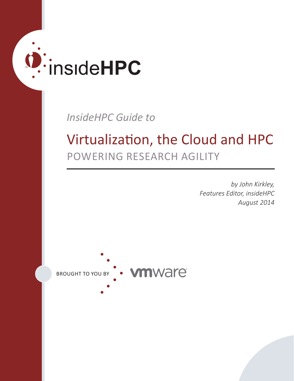# O: insideHPC

*InsideHPC Guide to*

# Virtualization, the Cloud and HPC POWERING RESEARCH AGILITY

*by John Kirkley, Features Editor, insideHPC August 2014*

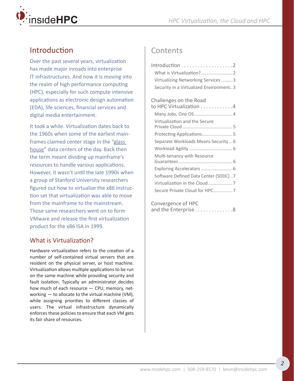

## Introduction

Over the past several years, virtualization has made major inroads into enterprise IT infrastructures. And now it is moving into the realm of high performance computing (HPC), especially for such compute intensive applications as electronic design automation (EDA), life sciences, financial services and digital media entertainment.

It took a while. Virtualization dates back to the 1960s when some of the earliest mainframes claimed center stage in the ["glass](http://whatis.techtarget.com/definition/glass-house)  [house"](http://whatis.techtarget.com/definition/glass-house) data centers of the day. Back then the term meant dividing up mainframe's resources to handle various applications. However, it wasn't until the late 1990s when a group of Stanford University researchers figured out how to virtualize the x86 instruction set that virtualization was able to move from the mainframe to the mainstream. Those same researchers went on to form VMware and release the first virtualization product for the x86 ISA in 1999.

#### What is Virtualization?

Hardware virtualization refers to the creation of a number of self-contained virtual servers that are resident on the physical server, or host machine. Virtualization allows multiple applications to be run on the same machine while providing security and fault isolation. Typically an administrator decides how much of each resource — CPU, memory, networking — to allocate to the virtual machine (VM), while assigning priorities to different classes of users. The virtual infrastructure dynamically enforces these policies to ensure that each VM gets its fair share of resources.

### **Contents**

| Virtualizing Networking Services  3    |
|----------------------------------------|
| Security in a Virtualized Environment3 |
| Challenges on the Road                 |
| to HPC Virtualization 4                |
| Many Jobs, One OS  4                   |
| Virtualization and the Secure          |
| Protecting Applications5               |
| Separate Workloads Means Security6     |
|                                        |
| Multi-tenancy with Resource            |
| Exploring Accelerators  6              |
| Software Defined Data Center (SDDC) 7  |
|                                        |
| Secure Private Cloud for HPC7          |
|                                        |

[Convergence of HPC](#page-7-0)  and the Enterprise...............8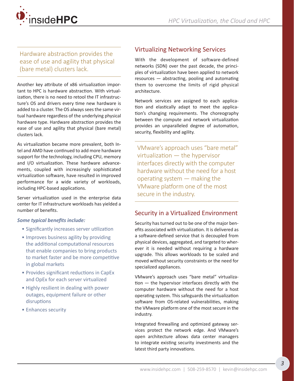<span id="page-2-0"></span>

Hardware abstraction provides the ease of use and agility that physical (bare metal) clusters lack.

Another key attribute of x86 virtualization important to HPC is hardware abstraction. With virtualization, there is no need to retool the IT infrastructure's OS and drivers every time new hardware is added to a cluster. The OS always sees the same virtual hardware regardless of the underlying physical hardware type. Hardware abstraction provides the ease of use and agility that physical (bare metal) clusters lack.

As virtualization became more prevalent, both Intel and AMD have continued to add more hardware support for the technology, including CPU, memory and I/O virtualization. These hardware advancements, coupled with increasingly sophisticated virtualization software, have resulted in improved performance for a wide variety of workloads, including HPC-based applications.

Server virtualization used in the enterprise data center for IT infrastructure workloads has yielded a number of benefits.

#### *Some typical benefits include:*

- Significantly increases server utilization
- Improves business agility by providing the additional computational resources that enable companies to bring products to market faster and be more competitive in global markets
- Provides significant reductions in CapEx and OpEx for each server virtualized
- Highly resilient in dealing with power outages, equipment failure or other disruptions
- Enhances security

#### Virtualizing Networking Services

With the development of software-defined networks (SDN) over the past decade, the principles of virtualization have been applied to network resources — abstracting, pooling and automating them to overcome the limits of rigid physical architecture.

Network services are assigned to each application and elastically adapt to meet the application's changing requirements. The choreography between the compute and network virtualization provides an unparalleled degree of automation, security, flexibility and agility.

VMware's approach uses "bare metal" virtualization — the hypervisor interfaces directly with the computer hardware without the need for a host operating system — making the VMware platform one of the most secure in the industry.

#### Security in a Virtualized Environment

Security has turned out to be one of the major benefits associated with virtualization. It is delivered as a software-defined service that is decoupled from physical devices, aggregated, and targeted to wherever it is needed without requiring a hardware upgrade. This allows workloads to be scaled and moved without security constraints or the need for specialized appliances.

VMware's approach uses "bare metal" virtualization — the hypervisor interfaces directly with the computer hardware without the need for a host operating system. This safeguards the virtualization software from OS-related vulnerabilities, making the VMware platform one of the most secure in the industry.

Integrated firewalling and optimized gateway services protect the network edge. And VMware's open architecture allows data center managers to integrate existing security investments and the latest third party innovations.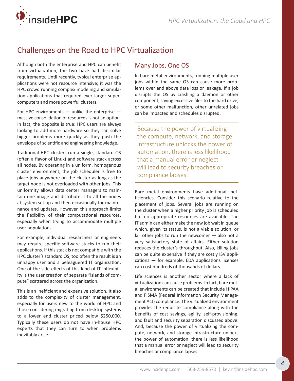<span id="page-3-0"></span>

# Challenges on the Road to HPC Virtualization

Although both the enterprise and HPC can benefit from virtualization, the two have had dissimilar requirements. Until recently, typical enterprise applications were not resource intensive; it was the HPC crowd running complex modeling and simulation applications that required ever larger supercomputers and more powerful clusters.

For HPC environments  $-$  unlike the enterprise  $$ massive consolidation of resources is not an option. In fact, the opposite is true: HPC users are always looking to add more hardware so they can solve bigger problems more quickly as they push the envelope of scientific and engineering knowledge.

Traditional HPC clusters run a single, standard OS (often a flavor of Linux) and software stack across all nodes. By operating in a uniform, homogenous cluster environment, the job scheduler is free to place jobs anywhere on the cluster as long as the target node is not overloaded with other jobs. This uniformity allows data center managers to maintain one image and distribute it to all the nodes at system set up and then occasionally for maintenance and updates. However, this approach limits the flexibility of their computational resources, especially when trying to accommodate multiple user populations.

For example, individual researchers or engineers may require specific software stacks to run their applications. If this stack is not compatible with the HPC cluster's standard OS, too often the result is an unhappy user and a beleaguered IT organization. One of the side effects of this kind of IT inflexibility is the user creation of separate "islands of compute" scattered across the organization.

This is an inefficient and expensive solution. It also adds to the complexity of cluster management, especially for users new to the world of HPC and those considering migrating from desktop systems to a lower end cluster priced below \$250,000. Typically these users do not have in-house HPC experts that they can turn to when problems inevitably arise.

#### Many Jobs, One OS

In bare metal environments, running multiple user jobs within the same OS can cause more problems over and above data loss or leakage. If a job disrupts the OS by crashing a daemon or other component, saving excessive files to the hard drive, or some other malfunction, other unrelated jobs can be impacted and schedules disrupted.

Because the power of virtualizing the compute, network, and storage infrastructure unlocks the power of automation, there is less likelihood that a manual error or neglect will lead to security breaches or compliance lapses.

Bare metal environments have additional inefficiencies. Consider this scenario relative to the placement of jobs. Several jobs are running on the cluster when a higher priority job is scheduled but no appropriate resources are available. The IT admin can either make the new job wait in queue which, given its status, is not a viable solution, or kill other jobs to run the newcomer  $-$  also not a very satisfactory state of affairs. Either solution reduces the cluster's throughput. Also, killing jobs can be quite expensive if they are costly ISV applications — for example, EDA applications licenses can cost hundreds of thousands of dollars.

Life sciences is another sector where a lack of virtualization can cause problems. In fact, bare metal environments can be created that include HIPAA and FISMA (Federal Information Security Management Act) compliance. The virtualized environment provides the requisite compliance along with the benefits of cost savings, agility, self-provisioning, and fault and security separation discussed above. And, because the power of virtualizing the compute, network, and storage infrastructure unlocks the power of automation, there is less likelihood that a manual error or neglect will lead to security breaches or compliance lapses.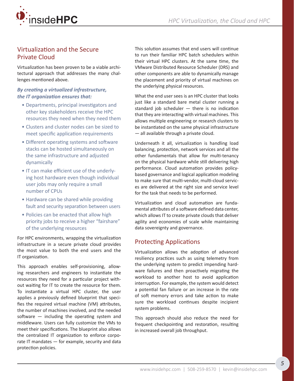<span id="page-4-0"></span>

#### Virtualization and the Secure Private Cloud

Virtualization has been proven to be a viable architectural approach that addresses the many challenges mentioned above.

#### *By creating a virtualized infrastructure, the IT organization ensures that:*

- Departments, principal investigators and other key stakeholders receive the HPC resources they need when they need them
- Clusters and cluster nodes can be sized to meet specific application requirements
- Different operating systems and software stacks can be hosted simultaneously on the same infrastructure and adjusted dynamically
- IT can make efficient use of the underlying host hardware even though individual user jobs may only require a small number of CPUs
- Hardware can be shared while providing fault and security separation between users
- Policies can be enacted that allow high priority jobs to receive a higher "fairshare" of the underlying resources

For HPC environments, wrapping the virtualization infrastructure in a secure private cloud provides the most value to both the end users and the IT organization.

This approach enables self-provisioning, allowing researchers and engineers to instantiate the resources they need for a particular project without waiting for IT to create the resource for them. To instantiate a virtual HPC cluster, the user applies a previously defined blueprint that specifies the required virtual machine (VM) attributes, the number of machines involved, and the needed software — including the operating system and middleware. Users can fully customize the VMs to meet their specifications. The blueprint also allows the centralized IT organization to enforce corporate IT mandates - for example, security and data protection policies.

This solution assumes that end users will continue to run their familiar HPC batch schedulers within their virtual HPC clusters. At the same time, the VMware Distributed Resource Scheduler (DRS) and other components are able to dynamically manage the placement and priority of virtual machines on the underlying physical resources.

What the end user sees is an HPC cluster that looks just like a standard bare metal cluster running a standard job scheduler  $-$  there is no indication that they are interacting with virtual machines. This allows multiple engineering or research clusters to be instantiated on the same physical infrastructure — all available through a private cloud.

Underneath it all, virtualization is handling load balancing, protection, network services and all the other fundamentals that allow for multi-tenancy on the physical hardware while still delivering high performance. Cloud automation provides policybased governance and logical application modeling to make sure that multi-vendor, multi-cloud services are delivered at the right size and service level for the task that needs to be performed.

Virtualization and cloud automation are fundamental attributes of a software defined data center, which allows IT to create private clouds that deliver agility and economies of scale while maintaining data sovereignty and governance.

#### Protecting Applications

Virtualization allows the adoption of advanced resiliency practices such as using telemetry from the underlying system to predict impending hardware failures and then proactively migrating the workload to another host to avoid application interruption. For example, the system would detect a potential fan failure or an increase in the rate of soft memory errors and take action to make sure the workload continues despite incipient system problems.

This approach should also reduce the need for frequent checkpointing and restoration, resulting in increased overall job throughput.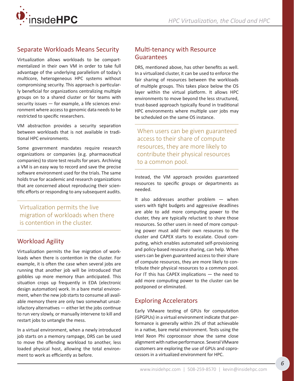<span id="page-5-0"></span>

#### Separate Workloads Means Security

Virtualization allows workloads to be compartmentalized in their own VM in order to take full advantage of the underlying parallelism of today's multicore, heterogeneous HPC systems without compromising security. This approach is particularly beneficial for organizations centralizing multiple groups on to a shared cluster or for teams with security issues — for example, a life sciences environment where access to genomic data needs to be restricted to specific researchers.

VM abstraction provides a security separation between workloads that is not available in traditional HPC environments.

Some government mandates require research organizations or companies (e.g. pharmaceutical companies) to store test results for years. Archiving a VM is an easy way to record and save the precise software environment used for the trials. The same holds true for academic and research organizations that are concerned about reproducing their scientific efforts or responding to any subsequent audits.

Virtualization permits the live migration of workloads when there is contention in the cluster.

#### Workload Agility

Virtualization permits the live migration of workloads when there is contention in the cluster. For example, it is often the case when several jobs are running that another job will be introduced that gobbles up more memory than anticipated. This situation crops up frequently in EDA (electronic design automation) work. In a bare metal environment, when the new job starts to consume all available memory there are only two somewhat unsatisfactory alternatives — either let the jobs continue to run very slowly, or manually intervene to kill and restart jobs to untangle the mess.

In a virtual environment, when a newly introduced job starts on a memory rampage, DRS can be used to move the offending workload to another, less loaded physical host, allowing the total environment to work as efficiently as before.

#### Multi-tenancy with Resource Guarantees

DRS, mentioned above, has other benefits as well. In a virtualized cluster, it can be used to enforce the fair sharing of resources between the workloads of multiple groups. This takes place below the OS layer within the virtual platform. It allows HPC environments to move beyond the less structured, trust-based approach typically found in traditional HPC environments where multiple user jobs may be scheduled on the same OS instance.

When users can be given guaranteed access to their share of compute resources, they are more likely to contribute their physical resources to a common pool.

Instead, the VM approach provides guaranteed resources to specific groups or departments as needed.

It also addresses another problem — when users with tight budgets and aggressive deadlines are able to add more computing power to the cluster, they are typically reluctant to share those resources. So other users in need of more computing power must add their own resources to the cluster and CAPEX starts to escalate. Cloud computing, which enables automated self-provisioning and policy-based resource sharing, can help. When users can be given guaranteed access to their share of compute resources, they are more likely to contribute their physical resources to a common pool. For IT this has CAPEX implications — the need to add more computing power to the cluster can be postponed or eliminated.

#### Exploring Accelerators

Early VMware testing of GPUs for computation (GPGPUs) in a virtual environment indicate that performance is generally within 2% of that achievable in a native, bare metal environment. Tests using the Intel Xeon Phi coprocessor show the same close alignment with native performance. Several VMware customers are exploring the use of GPUs and coprocessors in a virtualized environment for HPC.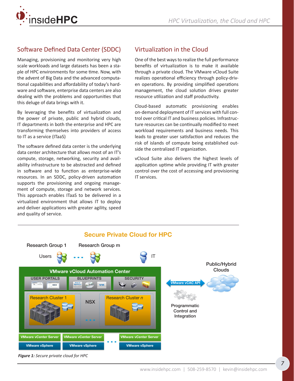<span id="page-6-0"></span>

#### Software Defined Data Center (SDDC)

Managing, provisioning and monitoring very high scale workloads and large datasets has been a staple of HPC environments for some time. Now, with the advent of Big Data and the advanced computational capabilities and affordability of today's hardware and software, enterprise data centers are also dealing with the problems and opportunities that this deluge of data brings with it.

By leveraging the benefits of virtualization and the power of private, public and hybrid clouds, IT departments in both the enterprise and HPC are transforming themselves into providers of access to IT as a service (ITaaS)

The software defined data center is the underlying data center architecture that allows most of an IT's compute, storage, networking, security and availability infrastructure to be abstracted and defined in software and to function as enterprise-wide resources. In an SDDC, policy-driven automation supports the provisioning and ongoing management of compute, storage and network services. This approach enables ITaaS to be delivered in a virtualized environment that allows IT to deploy and deliver applications with greater agility, speed and quality of service.

#### Virtualization in the Cloud

One of the best ways to realize the full performance benefits of virtualization is to make it available through a private cloud. The VMware vCloud Suite realizes operational efficiency through policy-driven operations. By providing simplified operations management, the cloud solution drives greater resource utilization and staff productivity.

Cloud-based automatic provisioning enables on-demand deployment of IT services with full control over critical IT and business policies. Infrastructure resources can be continually modified to meet workload requirements and business needs. This leads to greater user satisfaction and reduces the risk of islands of compute being established outside the centralized IT organization.

vCloud Suite also delivers the highest levels of application uptime while providing IT with greater control over the cost of accessing and provisioning IT services.



*Figure 1: Secure private cloud for HPC*